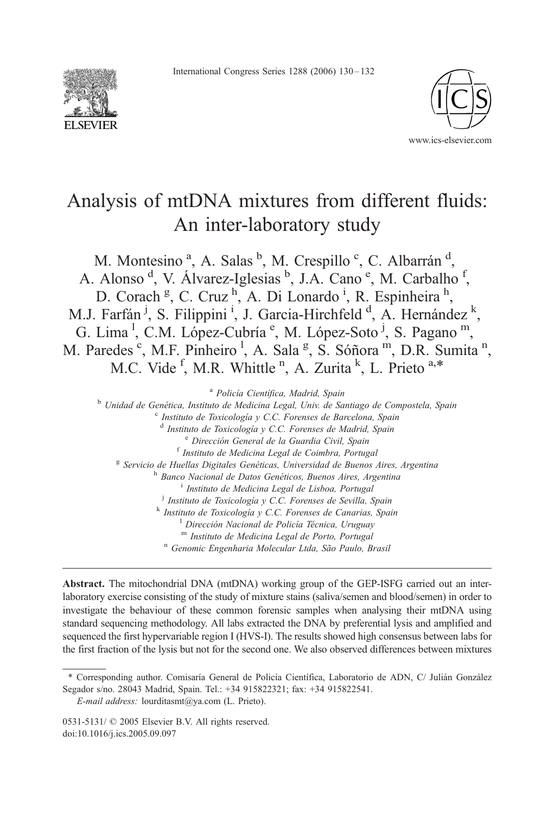International Congress Series 1288 (2006) 130-132





# Analysis of mtDNA mixtures from different fluids: An inter-laboratory study

M. Montesino<sup>a</sup>, A. Salas<sup>b</sup>, M. Crespillo<sup>c</sup>, C. Albarrán<sup>d</sup>, A. Alonso<sup>d</sup>, V. Álvarez-Iglesias <sup>b</sup>, J.A. Cano<sup>e</sup>, M. Carbalho<sup>f</sup>, D. Corach<sup>g</sup>, C. Cruz<sup>h</sup>, A. Di Lonardo<sup>i</sup>, R. Espinheira<sup>h</sup>, M.J. Farfán<sup> j</sup>, S. Filippini<sup> i</sup>, J. Garcia-Hirchfeld<sup>d</sup>, A. Hernández<sup>k</sup>, G. Lima<sup>1</sup>, C.M. López-Cubría<sup>e</sup>, M. López-Soto<sup>j</sup>, S. Pagano<sup>m</sup>, M. Paredes<sup>c</sup>, M.F. Pinheiro<sup>1</sup>, A. Sala<sup>g</sup>, S. Sóñora<sup>m</sup>, D.R. Sumita<sup>n</sup>, M.C. Vide<sup>f</sup>, M.R. Whittle<sup>n</sup>, A. Zurita<sup>k</sup>, L. Prieto<sup>a,\*</sup>

<sup>a</sup> Policía Científica, Madrid, Spain<br><sup>b</sup> Unidad de Genética, Instituto de Medicina Legal, Univ. de Santiago de Compostela, Spain<br><sup>c</sup> Instituto de Toxicología y C.C. Forenses de Barcelona, Spain<br><sup>d</sup> Instituto de Toxicolog <sup>e</sup> Dirección General de la Guardia Civil, Spain<br><sup>f</sup> Instituto de Medicina Legal de Coimbra, Portugal<br><sup>g</sup> Servicio de Huellas Digitales Genéticas, Universidad de Buenos Aires, Argentina <sup>h</sup> Banco Nacional de Datos Genéticos, Buenos Aires, Argentina i Instituto de Medicina Legal de Lisboa, Portugal  $j$  Instituto de Toxicología y C.C. Forenses de Sevilla, Spain k Instituto de Toxicología y C.C. Forenses de Canarias, Spain <sup>1</sup> Dirección Nacional de Policía Técnica, Uruguay m Instituto de Medicina Legal de Porto, Portugal n Genomic Engenharia Molecular Ltda, São Paulo, Brasil

Abstract. The mitochondrial DNA (mtDNA) working group of the GEP-ISFG carried out an interlaboratory exercise consisting of the study of mixture stains (saliva/semen and blood/semen) in order to investigate the behaviour of these common forensic samples when analysing their mtDNA using standard sequencing methodology. All labs extracted the DNA by preferential lysis and amplified and sequenced the first hypervariable region I (HVS-I). The results showed high consensus between labs for the first fraction of the lysis but not for the second one. We also observed differences between mixtures

<sup>\*</sup> Corresponding author. Comisaría General de Policía Científica, Laboratorio de ADN, C/ Julián González Segador s/no. 28043 Madrid, Spain. Tel.: +34 915822321; fax: +34 915822541.

E-mail address: lourditasmt@ya.com (L. Prieto).

 $0531-5131$ / $\odot$  2005 Elsevier B.V. All rights reserved. doi:10.1016/j.ics.2005.09.097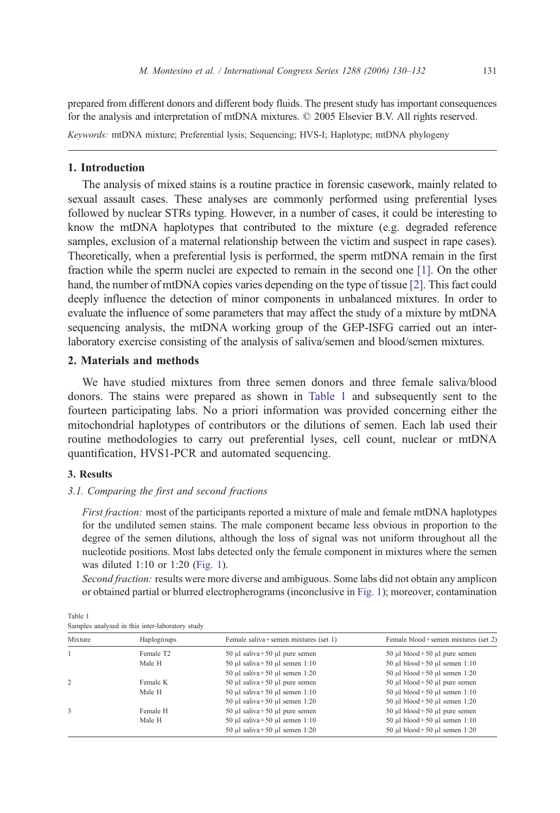<span id="page-1-0"></span>prepared from different donors and different body fluids. The present study has important consequences for the analysis and interpretation of mtDNA mixtures. © 2005 Elsevier B.V. All rights reserved.

Keywords: mtDNA mixture; Preferential lysis; Sequencing; HVS-I; Haplotype; mtDNA phylogeny

#### 1. Introduction

The analysis of mixed stains is a routine practice in forensic casework, mainly related to sexual assault cases. These analyses are commonly performed using preferential lyses followed by nuclear STRs typing. However, in a number of cases, it could be interesting to know the mtDNA haplotypes that contributed to the mixture (e.g. degraded reference samples, exclusion of a maternal relationship between the victim and suspect in rape cases). Theoretically, when a preferential lysis is performed, the sperm mtDNA remain in the first fraction while the sperm nuclei are expected to remain in the second one [\[1\].](#page-2-0) On the other hand, the number of mtDNA copies varies depending on the type of tissue [\[2\].](#page-2-0) This fact could deeply influence the detection of minor components in unbalanced mixtures. In order to evaluate the influence of some parameters that may affect the study of a mixture by mtDNA sequencing analysis, the mtDNA working group of the GEP-ISFG carried out an interlaboratory exercise consisting of the analysis of saliva/semen and blood/semen mixtures.

## 2. Materials and methods

We have studied mixtures from three semen donors and three female saliva/blood donors. The stains were prepared as shown in Table 1 and subsequently sent to the fourteen participating labs. No a priori information was provided concerning either the mitochondrial haplotypes of contributors or the dilutions of semen. Each lab used their routine methodologies to carry out preferential lyses, cell count, nuclear or mtDNA quantification, HVS1-PCR and automated sequencing.

#### 3. Results

### 3.1. Comparing the first and second fractions

First fraction: most of the participants reported a mixture of male and female mtDNA haplotypes for the undiluted semen stains. The male component became less obvious in proportion to the degree of the semen dilutions, although the loss of signal was not uniform throughout all the nucleotide positions. Most labs detected only the female component in mixtures where the semen was diluted 1:10 or 1:20 ([Fig. 1\)](#page-2-0).

Second fraction: results were more diverse and ambiguous. Some labs did not obtain any amplicon or obtained partial or blurred electropherograms (inconclusive in [Fig. 1\)](#page-2-0); moreover, contamination

Table 1 Samples analysed in this inter-laboratory study

| Mixture | Haplogroups           | Female saliva+semen mixtures (set 1) | Female blood + semen mixtures (set 2) |
|---------|-----------------------|--------------------------------------|---------------------------------------|
|         | Female T <sub>2</sub> | 50 µl saliva +50 µl pure semen       | 50 µl blood +50 µl pure semen         |
|         | Male H                | 50 µl saliva +50 µl semen 1:10       | 50 µl blood + 50 µl semen $1:10$      |
|         |                       | 50 µl saliva +50 µl semen 1:20       | 50 µl blood + 50 µl semen $1:20$      |
| 2       | Female K              | 50 µl saliva +50 µl pure semen       | 50 µl blood +50 µl pure semen         |
|         | Male H                | 50 µl saliva +50 µl semen 1:10       | 50 µl blood + 50 µl semen $1:10$      |
|         |                       | 50 µl saliva +50 µl semen 1:20       | 50 µl blood +50 µl semen 1:20         |
|         | Female H              | 50 µl saliva +50 µl pure semen       | 50 µl blood + 50 µl pure semen        |
|         | Male H                | 50 µl saliva +50 µl semen 1:10       | 50 µl blood + 50 µl semen $1:10$      |
|         |                       | 50 µl saliva +50 µl semen 1:20       | 50 µl blood + 50 µl semen $1:20$      |